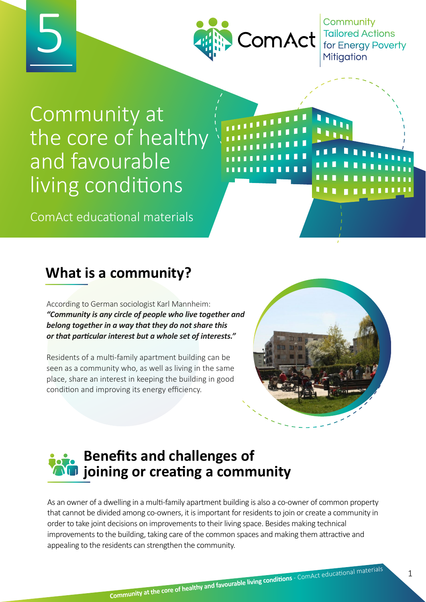

Community Tailored Actions<br>for Energy Poverty

# Community at the core of healthy and favourable living conditions

5

ComAct educational materials

## **What is a community?**

According to German sociologist Karl Mannheim: *"Community is any circle of people who live together and belong together in a way that they do not share this or that particular interest but a whole set of interests."*

Residents of a multi-family apartment building can be seen as a community who, as well as living in the same place, share an interest in keeping the building in good condition and improving its energy efficiency.



## **Benefits and challenges of joining or creating a community**

As an owner of a dwelling in a multi-family apartment building is also a co-owner of common property that cannot be divided among co-owners, it is important for residents to join or create a community in order to take joint decisions on improvements to their living space. Besides making technical improvements to the building, taking care of the common spaces and making them attractive and appealing to the residents can strengthen the community.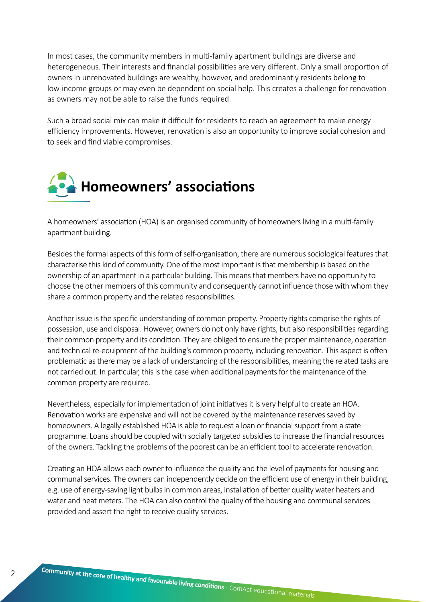In most cases, the community members in multi-family apartment buildings are diverse and heterogeneous. Their interests and financial possibilities are very different. Only a small proportion of owners in unrenovated buildings are wealthy, however, and predominantly residents belong to low-income groups or may even be dependent on social help. This creates a challenge for renovation as owners may not be able to raise the funds required.

Such a broad social mix can make it difficult for residents to reach an agreement to make energy efficiency improvements. However, renovation is also an opportunity to improve social cohesion and to seek and find viable compromises.



A homeowners' association (HOA) is an organised community of homeowners living in a multi-family apartment building.

Besides the formal aspects of this form of self-organisation, there are numerous sociological features that characterise this kind of community. One of the most important is that membership is based on the ownership of an apartment in a particular building. This means that members have no opportunity to choose the other members of this community and consequently cannot influence those with whom they share a common property and the related responsibilities.

Another issue is the specific understanding of common property. Property rights comprise the rights of possession, use and disposal. However, owners do not only have rights, but also responsibilities regarding their common property and its condition. They are obliged to ensure the proper maintenance, operation and technical re-equipment of the building's common property, including renovation. This aspect is often problematic as there may be a lack of understanding of the responsibilities, meaning the related tasks are not carried out. In particular, this is the case when additional payments for the maintenance of the common property are required.

Nevertheless, especially for implementation of joint initiatives it is very helpful to create an HOA. Renovation works are expensive and will not be covered by the maintenance reserves saved by homeowners. A legally established HOA is able to request a loan or financial support from a state programme. Loans should be coupled with socially targeted subsidies to increase the financial resources of the owners. Tackling the problems of the poorest can be an efficient tool to accelerate renovation.

Creating an HOA allows each owner to influence the quality and the level of payments for housing and communal services. The owners can independently decide on the efficient use of energy in their building, e.g. use of energy-saving light bulbs in common areas, installation of better quality water heaters and water and heat meters. The HOA can also control the quality of the housing and communal services provided and assert the right to receive quality services.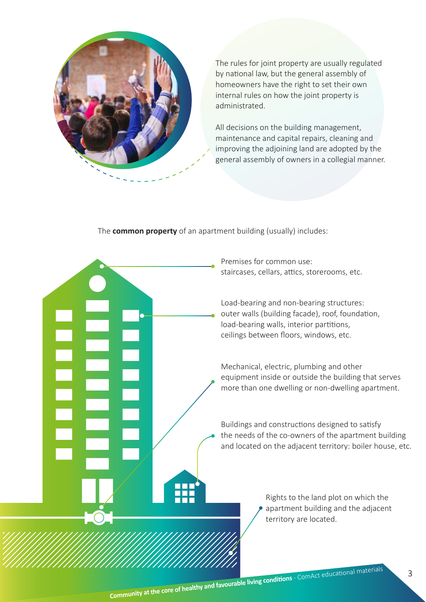

The rules for joint property are usually regulated by national law, but the general assembly of homeowners have the right to set their own internal rules on how the joint property is administrated.

All decisions on the building management, maintenance and capital repairs, cleaning and improving the adjoining land are adopted by the general assembly of owners in a collegial manner.

The **common property** of an apartment building (usually) includes:

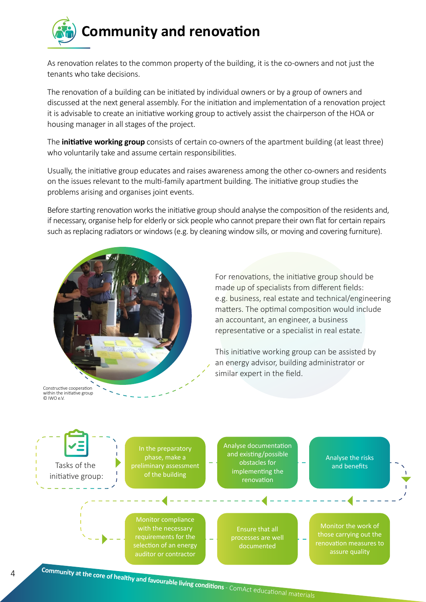

As renovation relates to the common property of the building, it is the co-owners and not just the tenants who take decisions.

The renovation of a building can be initiated by individual owners or by a group of owners and discussed at the next general assembly. For the initiation and implementation of a renovation project it is advisable to create an initiative working group to actively assist the chairperson of the HOA or housing manager in all stages of the project.

The **initiative working group** consists of certain co-owners of the apartment building (at least three) who voluntarily take and assume certain responsibilities.

Usually, the initiative group educates and raises awareness among the other co-owners and residents on the issues relevant to the multi-family apartment building. The initiative group studies the problems arising and organises joint events.

Before starting renovation works the initiative group should analyse the composition of the residents and, if necessary, organise help for elderly or sick people who cannot prepare their own flat for certain repairs such as replacing radiators or windows (e.g. by cleaning window sills, or moving and covering furniture).



For renovations, the initiative group should be made up of specialists from different fields: e.g. business, real estate and technical/engineering matters. The optimal composition would include an accountant, an engineer, a business representative or a specialist in real estate.

This initiative working group can be assisted by an energy advisor, building administrator or similar expert in the field.

Constructive cooperation within the initiative group © IWO e.V.

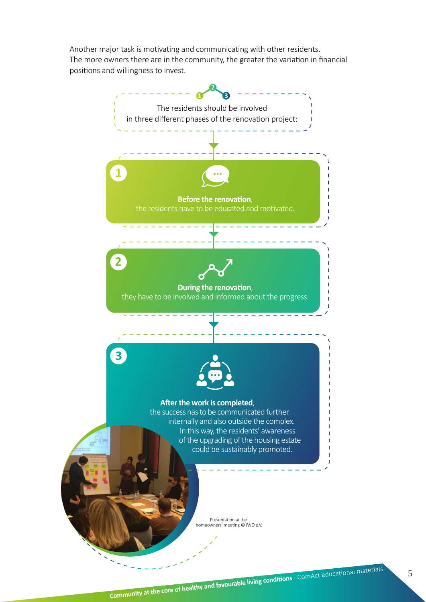Another major task is motivating and communicating with other residents. The more owners there are in the community, the greater the variation in financial positions and willingness to invest.